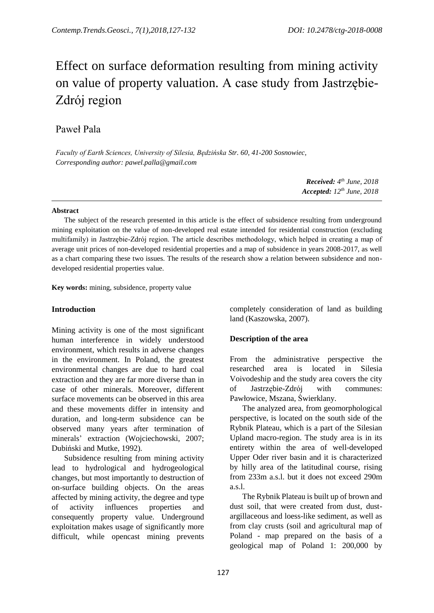# Effect on surface deformation resulting from mining activity on value of property valuation. A case study from Jastrzębie-Zdrój region

# Paweł Pala

*Faculty of Earth Sciences, University of Silesia, Będzińska Str. 60, 41-200 Sosnowiec, Corresponding author: pawel.palla@gmail.com*

> *Received: 4 th June, 2018 Accepted: 12 th June, 2018*

#### **Abstract**

The subject of the research presented in this article is the effect of subsidence resulting from underground mining exploitation on the value of non-developed real estate intended for residential construction (excluding multifamily) in Jastrzębie-Zdrój region. The article describes methodology, which helped in creating a map of average unit prices of non-developed residential properties and a map of subsidence in years 2008-2017, as well as a chart comparing these two issues. The results of the research show a relation between subsidence and nondeveloped residential properties value.

**Key words:** mining, subsidence, property value

# **Introduction**

Mining activity is one of the most significant human interference in widely understood environment, which results in adverse changes in the environment. In Poland, the greatest environmental changes are due to hard coal extraction and they are far more diverse than in case of other minerals. Moreover, different surface movements can be observed in this area and these movements differ in intensity and duration, and long-term subsidence can be observed many years after termination of minerals' extraction (Wojciechowski, 2007; Dubiński and Mutke, 1992).

Subsidence resulting from mining activity lead to hydrological and hydrogeological changes, but most importantly to destruction of on-surface building objects. On the areas affected by mining activity, the degree and type of activity influences properties and consequently property value. Underground exploitation makes usage of significantly more difficult, while opencast mining prevents completely consideration of land as building land (Kaszowska, 2007).

# **Description of the area**

From the administrative perspective the researched area is located in Silesia Voivodeship and the study area covers the city of Jastrzębie-Zdrój with communes: Pawłowice, Mszana, Świerklany.

The analyzed area, from geomorphological perspective, is located on the south side of the Rybnik Plateau, which is a part of the Silesian Upland macro-region. The study area is in its entirety within the area of well-developed Upper Oder river basin and it is characterized by hilly area of the latitudinal course, rising from 233m a.s.l. but it does not exceed 290m a.s.l.

The Rybnik Plateau is built up of brown and dust soil, that were created from dust, dustargillaceous and loess-like sediment, as well as from clay crusts (soil and agricultural map of Poland - map prepared on the basis of a geological map of Poland 1: 200,000 by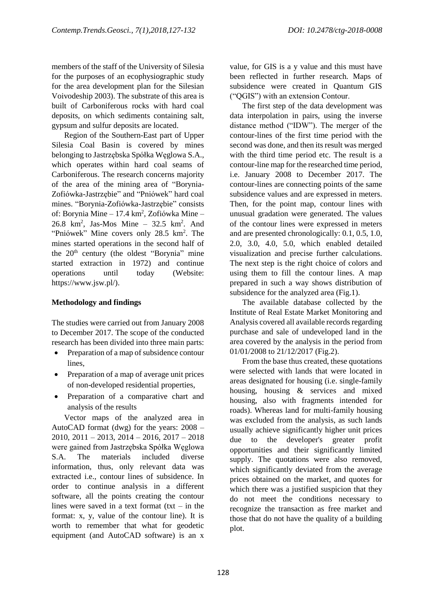members of the staff of the University of Silesia for the purposes of an ecophysiographic study for the area development plan for the Silesian Voivodeship 2003). The substrate of this area is built of Carboniferous rocks with hard coal deposits, on which sediments containing salt, gypsum and sulfur deposits are located.

Region of the Southern-East part of Upper Silesia Coal Basin is covered by mines belonging to Jastrzębska Spółka Węglowa S.A., which operates within hard coal seams of Carboniferous. The research concerns majority of the area of the mining area of "Borynia-Zofiówka-Jastrzębie" and "Pniówek" hard coal mines. "Borynia-Zofiówka-Jastrzębie" consists of: Borynia Mine – 17.4 km<sup>2</sup>, Zofiówka Mine –  $26.8 \text{ km}^2$ , Jas-Mos Mine - 32.5 km<sup>2</sup>. And "Pniówek" Mine covers only 28.5 km<sup>2</sup>. The mines started operations in the second half of the  $20<sup>th</sup>$  century (the oldest "Borynia" mine started extraction in 1972) and continue operations until today (Website: https://www.jsw.pl/).

#### **Methodology and findings**

The studies were carried out from January 2008 to December 2017. The scope of the conducted research has been divided into three main parts:

- Preparation of a map of subsidence contour lines,
- Preparation of a map of average unit prices of non-developed residential properties,
- Preparation of a comparative chart and analysis of the results

Vector maps of the analyzed area in AutoCAD format (dwg) for the years: 2008 – 2010, 2011 – 2013, 2014 – 2016, 2017 – 2018 were gained from Jastrzębska Spółka Węglowa S.A. The materials included diverse information, thus, only relevant data was extracted i.e., contour lines of subsidence. In order to continue analysis in a different software, all the points creating the contour lines were saved in a text format  $(txt - in the)$ format: x, y, value of the contour line). It is worth to remember that what for geodetic equipment (and AutoCAD software) is an x value, for GIS is a y value and this must have been reflected in further research. Maps of subsidence were created in Quantum GIS ("QGIS") with an extension Contour.

The first step of the data development was data interpolation in pairs, using the inverse distance method ("IDW"). The merger of the contour-lines of the first time period with the second was done, and then its result was merged with the third time period etc. The result is a contour-line map for the researched time period, i.e. January 2008 to December 2017. The contour-lines are connecting points of the same subsidence values and are expressed in meters. Then, for the point map, contour lines with unusual gradation were generated. The values of the contour lines were expressed in meters and are presented chronologically: 0.1, 0.5, 1.0, 2.0, 3.0, 4.0, 5.0, which enabled detailed visualization and precise further calculations. The next step is the right choice of colors and using them to fill the contour lines. A map prepared in such a way shows distribution of subsidence for the analyzed area (Fig.1).

The available database collected by the Institute of Real Estate Market Monitoring and Analysis covered all available records regarding purchase and sale of undeveloped land in the area covered by the analysis in the period from 01/01/2008 to 21/12/2017 (Fig.2).

From the base thus created, these quotations were selected with lands that were located in areas designated for housing (i.e. single-family housing, housing & services and mixed housing, also with fragments intended for roads). Whereas land for multi-family housing was excluded from the analysis, as such lands usually achieve significantly higher unit prices due to the developer's greater profit opportunities and their significantly limited supply. The quotations were also removed, which significantly deviated from the average prices obtained on the market, and quotes for which there was a justified suspicion that they do not meet the conditions necessary to recognize the transaction as free market and those that do not have the quality of a building plot.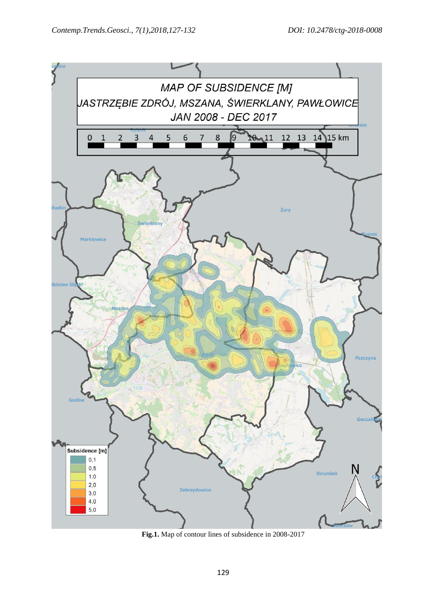

**Fig.1.** Map of contour lines of subsidence in 2008-2017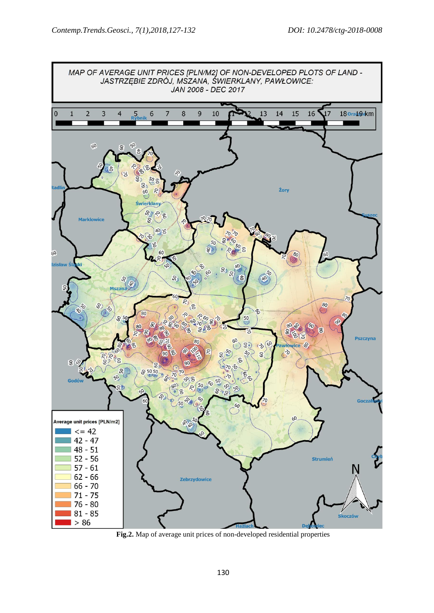

**Fig.2.** Map of average unit prices of non-developed residential properties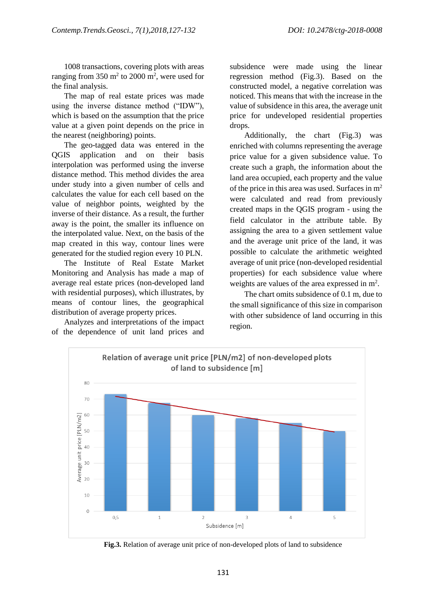1008 transactions, covering plots with areas ranging from  $350 \text{ m}^2$  to  $2000 \text{ m}^2$ , were used for the final analysis.

The map of real estate prices was made using the inverse distance method ("IDW"), which is based on the assumption that the price value at a given point depends on the price in the nearest (neighboring) points.

The geo-tagged data was entered in the QGIS application and on their basis interpolation was performed using the inverse distance method. This method divides the area under study into a given number of cells and calculates the value for each cell based on the value of neighbor points, weighted by the inverse of their distance. As a result, the further away is the point, the smaller its influence on the interpolated value. Next, on the basis of the map created in this way, contour lines were generated for the studied region every 10 PLN.

The Institute of Real Estate Market Monitoring and Analysis has made a map of average real estate prices (non-developed land with residential purposes), which illustrates, by means of contour lines, the geographical distribution of average property prices.

Analyzes and interpretations of the impact of the dependence of unit land prices and

subsidence were made using the linear regression method (Fig.3). Based on the constructed model, a negative correlation was noticed. This means that with the increase in the value of subsidence in this area, the average unit price for undeveloped residential properties drops.

Additionally, the chart (Fig.3) was enriched with columns representing the average price value for a given subsidence value. To create such a graph, the information about the land area occupied, each property and the value of the price in this area was used. Surfaces in  $m<sup>2</sup>$ were calculated and read from previously created maps in the QGIS program - using the field calculator in the attribute table. By assigning the area to a given settlement value and the average unit price of the land, it was possible to calculate the arithmetic weighted average of unit price (non-developed residential properties) for each subsidence value where weights are values of the area expressed in m<sup>2</sup>.

The chart omits subsidence of 0.1 m, due to the small significance of this size in comparison with other subsidence of land occurring in this region.



**Fig.3.** Relation of average unit price of non-developed plots of land to subsidence